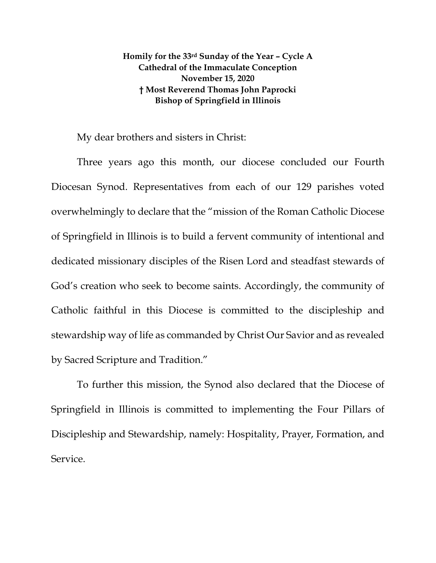## **Homily for the 33rd Sunday of the Year – Cycle A Cathedral of the Immaculate Conception November 15, 2020 † Most Reverend Thomas John Paprocki Bishop of Springfield in Illinois**

My dear brothers and sisters in Christ:

Three years ago this month, our diocese concluded our Fourth Diocesan Synod. Representatives from each of our 129 parishes voted overwhelmingly to declare that the "mission of the Roman Catholic Diocese of Springfield in Illinois is to build a fervent community of intentional and dedicated missionary disciples of the Risen Lord and steadfast stewards of God's creation who seek to become saints. Accordingly, the community of Catholic faithful in this Diocese is committed to the discipleship and stewardship way of life as commanded by Christ Our Savior and as revealed by Sacred Scripture and Tradition."

To further this mission, the Synod also declared that the Diocese of Springfield in Illinois is committed to implementing the Four Pillars of Discipleship and Stewardship, namely: Hospitality, Prayer, Formation, and Service.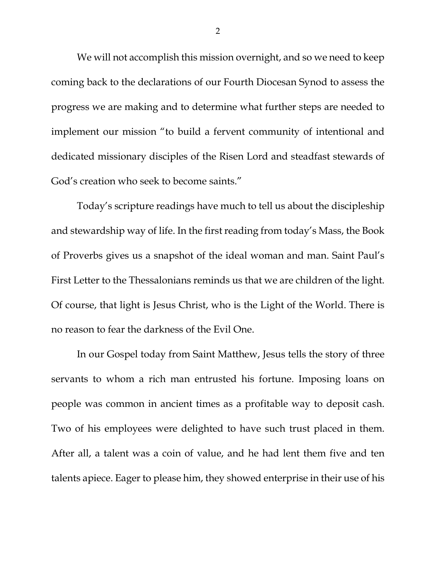We will not accomplish this mission overnight, and so we need to keep coming back to the declarations of our Fourth Diocesan Synod to assess the progress we are making and to determine what further steps are needed to implement our mission "to build a fervent community of intentional and dedicated missionary disciples of the Risen Lord and steadfast stewards of God's creation who seek to become saints."

Today's scripture readings have much to tell us about the discipleship and stewardship way of life. In the first reading from today's Mass, the Book of Proverbs gives us a snapshot of the ideal woman and man. Saint Paul's First Letter to the Thessalonians reminds us that we are children of the light. Of course, that light is Jesus Christ, who is the Light of the World. There is no reason to fear the darkness of the Evil One.

In our Gospel today from Saint Matthew, Jesus tells the story of three servants to whom a rich man entrusted his fortune. Imposing loans on people was common in ancient times as a profitable way to deposit cash. Two of his employees were delighted to have such trust placed in them. After all, a talent was a coin of value, and he had lent them five and ten talents apiece. Eager to please him, they showed enterprise in their use of his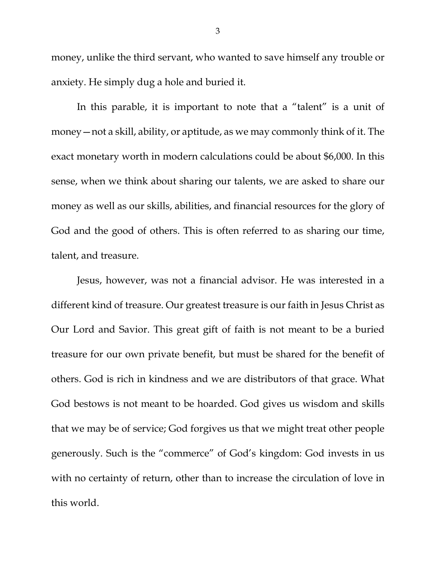money, unlike the third servant, who wanted to save himself any trouble or anxiety. He simply dug a hole and buried it.

In this parable, it is important to note that a "talent" is a unit of money—not a skill, ability, or aptitude, as we may commonly think of it. The exact monetary worth in modern calculations could be about \$6,000. In this sense, when we think about sharing our talents, we are asked to share our money as well as our skills, abilities, and financial resources for the glory of God and the good of others. This is often referred to as sharing our time, talent, and treasure.

Jesus, however, was not a financial advisor. He was interested in a different kind of treasure. Our greatest treasure is our faith in Jesus Christ as Our Lord and Savior. This great gift of faith is not meant to be a buried treasure for our own private benefit, but must be shared for the benefit of others. God is rich in kindness and we are distributors of that grace. What God bestows is not meant to be hoarded. God gives us wisdom and skills that we may be of service; God forgives us that we might treat other people generously. Such is the "commerce" of God's kingdom: God invests in us with no certainty of return, other than to increase the circulation of love in this world.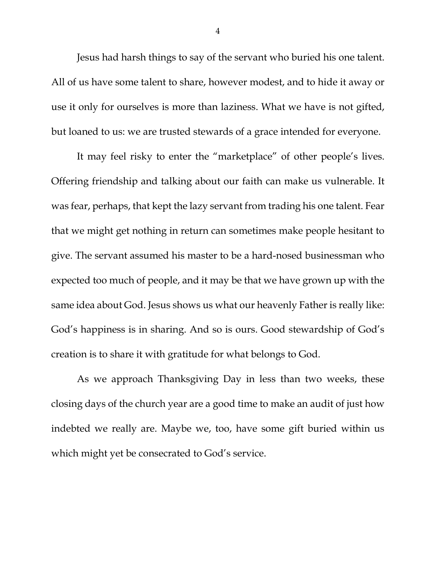Jesus had harsh things to say of the servant who buried his one talent. All of us have some talent to share, however modest, and to hide it away or use it only for ourselves is more than laziness. What we have is not gifted, but loaned to us: we are trusted stewards of a grace intended for everyone.

It may feel risky to enter the "marketplace" of other people's lives. Offering friendship and talking about our faith can make us vulnerable. It was fear, perhaps, that kept the lazy servant from trading his one talent. Fear that we might get nothing in return can sometimes make people hesitant to give. The servant assumed his master to be a hard-nosed businessman who expected too much of people, and it may be that we have grown up with the same idea about God. Jesus shows us what our heavenly Father is really like: God's happiness is in sharing. And so is ours. Good stewardship of God's creation is to share it with gratitude for what belongs to God.

As we approach Thanksgiving Day in less than two weeks, these closing days of the church year are a good time to make an audit of just how indebted we really are. Maybe we, too, have some gift buried within us which might yet be consecrated to God's service.

4